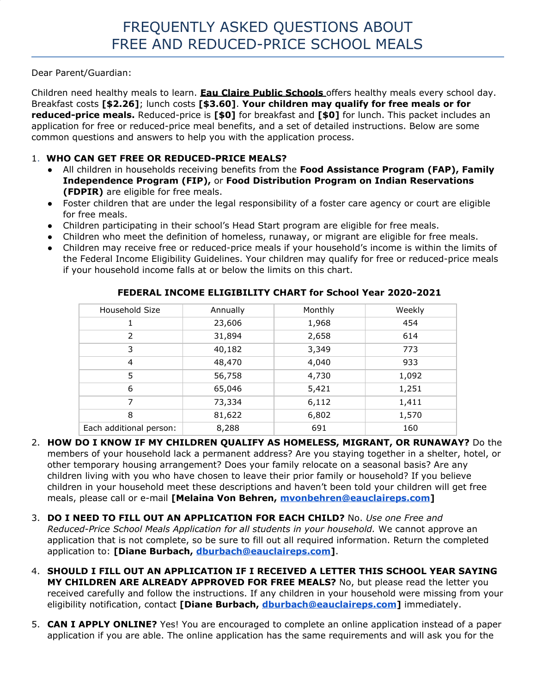Dear Parent/Guardian:

Children need healthy meals to learn. **Eau Claire Public Schools** offers healthy meals every school day. Breakfast costs **[\$2.26]**; lunch costs **[\$3.60]**. **Your children may qualify for free meals or for reduced-price meals.** Reduced-price is **[\$0]** for breakfast and **[\$0]** for lunch. This packet includes an application for free or reduced-price meal benefits, and a set of detailed instructions. Below are some common questions and answers to help you with the application process.

## 1. **WHO CAN GET FREE OR REDUCED-PRICE MEALS?**

- All children in households receiving benefits from the **Food Assistance Program (FAP), Family Independence Program (FIP),** or **Food Distribution Program on Indian Reservations (FDPIR)** are eligible for free meals.
- Foster children that are under the legal responsibility of a foster care agency or court are eligible for free meals.
- Children participating in their school's Head Start program are eligible for free meals.
- Children who meet the definition of homeless, runaway, or migrant are eligible for free meals.
- Children may receive free or reduced-price meals if your household's income is within the limits of the Federal Income Eligibility Guidelines. Your children may qualify for free or reduced-price meals if your household income falls at or below the limits on this chart.

| Household Size          | Annually | Monthly | Weekly |
|-------------------------|----------|---------|--------|
| 1                       | 23,606   | 1,968   | 454    |
| 2                       | 31,894   | 2,658   | 614    |
| 3                       | 40,182   | 3,349   | 773    |
| $\overline{4}$          | 48,470   | 4,040   | 933    |
| 5                       | 56,758   | 4,730   | 1,092  |
| 6                       | 65,046   | 5,421   | 1,251  |
| 7                       | 73,334   | 6,112   | 1,411  |
| 8                       | 81,622   | 6,802   | 1,570  |
| Each additional person: | 8,288    | 691     | 160    |

## **FEDERAL INCOME ELIGIBILITY CHART for School Year 2020-2021**

- 2. **HOW DO I KNOW IF MY CHILDREN QUALIFY AS HOMELESS, MIGRANT, OR RUNAWAY?** Do the members of your household lack a permanent address? Are you staying together in a shelter, hotel, or other temporary housing arrangement? Does your family relocate on a seasonal basis? Are any children living with you who have chosen to leave their prior family or household? If you believe children in your household meet these descriptions and haven't been told your children will get free meals, please call or e-mail **[Melaina Von Behren, [mvonbehren@eauclaireps.com](mailto:mvonbehren@eauclaireps.com)]**
- 3. **DO I NEED TO FILL OUT AN APPLICATION FOR EACH CHILD?** No. *Use one Free and Reduced-Price School Meals Application for all students in your household.* We cannot approve an application that is not complete, so be sure to fill out all required information. Return the completed application to: **[Diane Burbach, dburbach@eauclaireps.com]**.
- 4. **SHOULD I FILL OUT AN APPLICATION IF I RECEIVED A LETTER THIS SCHOOL YEAR SAYING MY CHILDREN ARE ALREADY APPROVED FOR FREE MEALS?** No, but please read the letter you received carefully and follow the instructions. If any children in your household were missing from your eligibility notification, contact **[Diane Burbach, dburbach@eauclaireps.com]** immediately.
- 5. **CAN I APPLY ONLINE?** Yes! You are encouraged to complete an online application instead of a paper application if you are able. The online application has the same requirements and will ask you for the